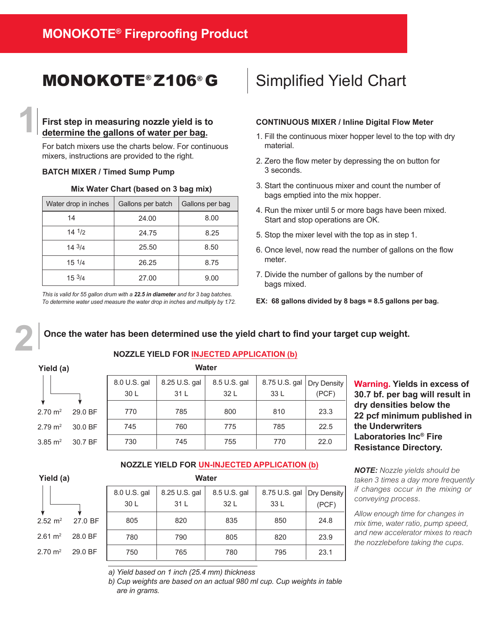### MONOKOTE<sup>®</sup> Z106<sup>®</sup> G | Simplified Yield Chart

### **First step in measuring nozzle yield is to determine the gallons of water per bag.**

For batch mixers use the charts below. For continuous mixers, instructions are provided to the right.

### **BATCH MIXER / Timed Sump Pump**

#### **Mix Water Chart (based on 3 bag mix)**

| Water drop in inches | Gallons per batch | Gallons per bag |
|----------------------|-------------------|-----------------|
| 14                   | 24.00             | 8.00            |
| $14 \frac{1}{2}$     | 24.75             | 8.25            |
| 143/4                | 25.50             | 8.50            |
| $15 \frac{1}{4}$     | 26.25             | 8.75            |
| 153/4                | 27.00             | 9.00            |

*This is valid for 55 gallon drum with a 22.5 in diameter and for 3 bag batches. To determine water used measure the water drop in inches and multiply by 1.72.*

#### **CONTINUOUS MIXER / Inline Digital Flow Meter**

- 1. Fill the continuous mixer hopper level to the top with dry material.
- 2. Zero the flow meter by depressing the on button for 3 seconds.
- 3. Start the continuous mixer and count the number of bags emptied into the mix hopper.
- 4. Run the mixer until 5 or more bags have been mixed. Start and stop operations are OK.
- 5. Stop the mixer level with the top as in step1.
- 6. Once level, now read the number of gallons on the flow meter.
- 7. Divide the number of gallons by the number of bags mixed.
- **EX: 68 gallons divided by 8 bags = 8.5 gallons per bag.**

### Once the water has been determined use the yield chart to find your target cup weight.

#### **Yield (a)**

 $2.70 \text{ m}^2$ 

 $2.79 \text{ m}^2$  $3.85 \text{ m}^2$ 

**2**

**1**

### **Water NOZZLE YIELD FOR INJECTED APPLICATION (b)**

| walch   |              |               |              |               |             |  |  |
|---------|--------------|---------------|--------------|---------------|-------------|--|--|
|         | 8.0 U.S. gal | 8.25 U.S. gal | 8.5 U.S. gal | 8.75 U.S. gal | Dry Density |  |  |
|         | 30 L         | 31 L          | 32 L         | 33 L          | (PCF)       |  |  |
|         |              |               |              |               |             |  |  |
| 29.0 BF | 770          | 785           | 800          | 810           | 23.3        |  |  |
| 30.0 BF | 745          | 760           | 775          | 785           | 22.5        |  |  |
| 30.7 BF | 730          | 745           | 755          | 770           | 22.0        |  |  |
|         |              |               |              |               |             |  |  |

**Warning. Yields in excess of 30.7 bf. per bag will result in dry densities below the 22 pcf minimum published in the Underwriters Laboratories Inc® Fire Resistance Directory.**

### **NOZZLE YIELD FOR UN-INJECTED APPLICATION (b)**

**Water**

### **Yield (a)**



| <b>vvalei</b>                 |               |              |               |             |
|-------------------------------|---------------|--------------|---------------|-------------|
| 8.0 U.S. gal                  | 8.25 U.S. gal | 8.5 U.S. gal | 8.75 U.S. gal | Dry Density |
| 30 L                          | 31 L          | 32 L         | 33 L          | (PCF)       |
| 805                           | 820           | 835          | 850           | 24.8        |
| 780                           | 790           | 805          | 820           | 23.9        |
| 750                           | 765           | 780          | 795           | 23.1        |
| 27.0 BF<br>28.0 BF<br>29.0 BF |               |              |               |             |

*NOTE: Nozzle yields should be taken 3 times a day more frequently if changes occur in the mixing or conveying process.*

*Allow enough time for changes in mix time, water ratio, pump speed, and new accelerator mixes to reach the nozzlebefore taking the cups.*

*a) Yield based on 1 inch (25.4 mm) thickness*

*b) Cup weights are based on an actual 980 ml cup. Cup weights in table are in grams.*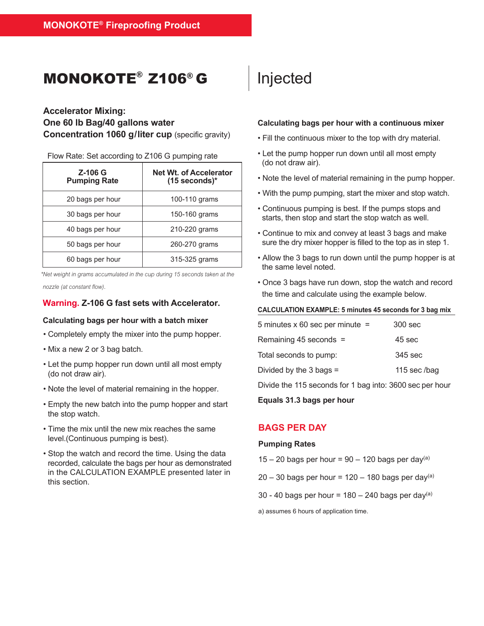### MONOKOTE® Z106 ® G

### **Accelerator Mixing: One 60 lb Bag/40 gallons water Concentration 1060 g/liter cup** (specific gravity)

Flow Rate: Set according to Z106 G pumping rate

| Z-106 G<br><b>Pumping Rate</b> | <b>Net Wt. of Accelerator</b><br>$(15$ seconds)* |  |  |
|--------------------------------|--------------------------------------------------|--|--|
| 20 bags per hour               | 100-110 grams                                    |  |  |
| 30 bags per hour               | 150-160 grams                                    |  |  |
| 40 bags per hour               | 210-220 grams                                    |  |  |
| 50 bags per hour               | 260-270 grams                                    |  |  |
| 60 bags per hour               | 315-325 grams                                    |  |  |

*\*Net weight in grams accumulated in the cup during 15 seconds taken at the* 

*nozzle (at constant flow).*

### **Warning. Z-106 G fast sets with Accelerator.**

### **Calculating bags per hour with a batch mixer**

- Completely empty the mixer into the pump hopper.
- Mix a new 2 or 3 bag batch.
- Let the pump hopper run down until all most empty (do not draw air).
- Note the level of material remaining in the hopper.
- Empty the new batch into the pump hopper and start the stop watch.
- Time the mix until the new mix reaches the same level.(Continuous pumping is best).
- Stop the watch and record the time. Using the data recorded, calculate the bags per hour as demonstrated in the CALCULATION EXAMPLE presented later in this section.

## Injected

### **Calculating bags per hour with a continuous mixer**

- Fill the continuous mixer to the top with dry material.
- Let the pump hopper run down until all most empty (do not draw air).
- Note the level of material remaining in the pump hopper.
- With the pump pumping, start the mixer and stop watch.
- Continuous pumping is best. If the pumps stops and starts, then stop and start the stop watch as well.
- Continue to mix and convey at least 3 bags and make sure the dry mixer hopper is filled to the top as in step 1.
- Allow the 3 bags to run down until the pump hopper is at the same level noted.
- Once 3 bags have run down, stop the watch and record the time and calculate using the example below.

#### **CALCULATION EXAMPLE: 5 minutes 45 seconds for 3 bag mix**

| 5 minutes $x$ 60 sec per minute =                        | 300 sec      |
|----------------------------------------------------------|--------------|
| Remaining 45 seconds =                                   | 45 sec       |
| Total seconds to pump:                                   | 345 sec      |
| Divided by the $3 \text{ bags} =$                        | 115 sec /bag |
| Divide the 115 seconds for 1 bag into: 3600 sec per hour |              |

**Equals 31.3 bags per hour** 

### **BAGS PER DAY**

### **Pumping Rates**

- 15 20 bags per hour =  $90 120$  bags per day<sup>(a)</sup>
- $20 30$  bags per hour = 120 180 bags per day(a)
- 30 40 bags per hour =  $180 240$  bags per day(a)

a) assumes 6 hours of application time.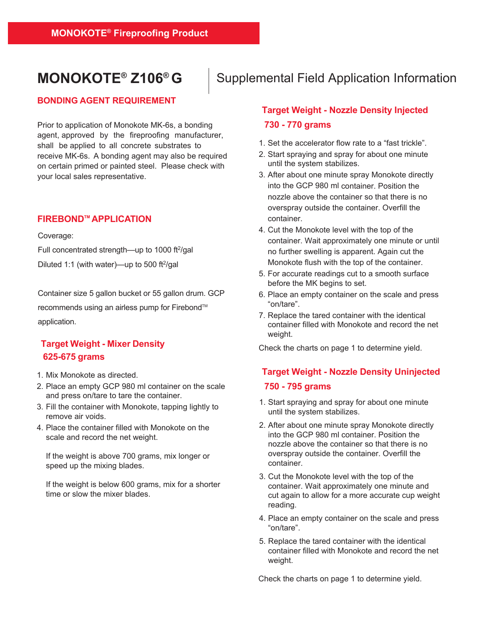### **MONOKOTE® Z106®G**

### **BONDING AGENT REQUIREMENT**

Prior to application of Monokote MK-6s, a bonding agent, approved by the fireproofing manufacturer, shall be applied to all concrete substrates to receive MK-6s. A bonding agent may also be required on certain primed or painted steel. Please check with your local sales representative.

### **FIREBONDTM APPLICATION**

Coverage:

Full concentrated strength-up to 1000 ft<sup>2</sup>/gal Diluted 1:1 (with water)—up to 500 ft $2$ /gal

Container size 5 gallon bucket or 55 gallon drum. GCP recommends using an airless pump for Firebond™ application.

### **Target Weight - Mixer Density 625-675 grams**

- 1. Mix Monokote as directed.
- 2. Place an empty GCP 980 ml container on the scale and press on/tare to tare the container.
- 3. Fill the container with Monokote, tapping lightly to remove air voids.
- 4. Place the container filled with Monokote on the scale and record the net weight.

If the weight is above 700 grams, mix longer or speed up the mixing blades.

If the weight is below 600 grams, mix for a shorter time or slow the mixer blades.

### Supplemental Field Application Information

### **Target Weight - Nozzle Density Injected 730 - 770 grams**

- 1. Set the accelerator flow rate to a "fast trickle".
- 2. Start spraying and spray for about one minute until the system stabilizes.
- 3. After about one minute spray Monokote directly into the GCP 980 ml container. Position the nozzle above the container so that there is no overspray outside the container. Overfill the container.
- 4. Cut the Monokote level with the top of the container. Wait approximately one minute or until no further swelling is apparent. Again cut the Monokote flush with the top of the container.
- 5. For accurate readings cut to a smooth surface before the MK begins to set.
- 6. Place an empty container on the scale and press "on/tare".
- 7. Replace the tared container with the identical container filled with Monokote and record the net weight.

Check the charts on page 1 to determine yield.

### **Target Weight - Nozzle Density Uninjected 750 - 795 grams**

- 1. Start spraying and spray for about one minute until the system stabilizes.
- 2. After about one minute spray Monokote directly into the GCP 980 ml container. Position the nozzle above the container so that there is no overspray outside the container. Overfill the container.
- 3. Cut the Monokote level with the top of the container. Wait approximately one minute and cut again to allow for a more accurate cup weight reading.
- 4. Place an empty container on the scale and press "on/tare".
- 5. Replace the tared container with the identical container filled with Monokote and record the net weight.

Check the charts on page 1 to determine yield.